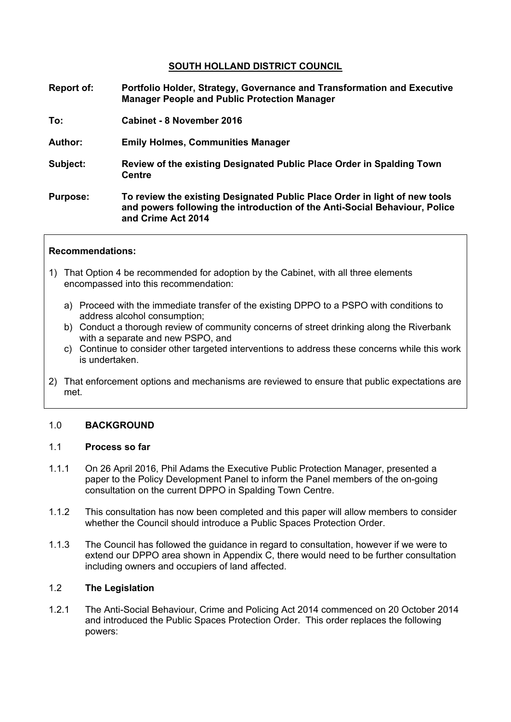# **SOUTH HOLLAND DISTRICT COUNCIL**

- **Report of: Portfolio Holder, Strategy, Governance and Transformation and Executive Manager People and Public Protection Manager**
- **To: Cabinet - 8 November 2016**
- **Author: Emily Holmes, Communities Manager**
- **Subject: Review of the existing Designated Public Place Order in Spalding Town Centre**
- **Purpose: To review the existing Designated Public Place Order in light of new tools and powers following the introduction of the Anti-Social Behaviour, Police and Crime Act 2014**

### **Recommendations:**

- 1) That Option 4 be recommended for adoption by the Cabinet, with all three elements encompassed into this recommendation:
	- a) Proceed with the immediate transfer of the existing DPPO to a PSPO with conditions to address alcohol consumption;
	- b) Conduct a thorough review of community concerns of street drinking along the Riverbank with a separate and new PSPO, and
	- c) Continue to consider other targeted interventions to address these concerns while this work is undertaken.
- 2) That enforcement options and mechanisms are reviewed to ensure that public expectations are met.

### 1.0 **BACKGROUND**

### 1.1 **Process so far**

- 1.1.1 On 26 April 2016, Phil Adams the Executive Public Protection Manager, presented a paper to the Policy Development Panel to inform the Panel members of the on-going consultation on the current DPPO in Spalding Town Centre.
- 1.1.2 This consultation has now been completed and this paper will allow members to consider whether the Council should introduce a Public Spaces Protection Order.
- 1.1.3 The Council has followed the guidance in regard to consultation, however if we were to extend our DPPO area shown in Appendix C, there would need to be further consultation including owners and occupiers of land affected.

### 1.2 **The Legislation**

1.2.1 The Anti-Social Behaviour, Crime and Policing Act 2014 commenced on 20 October 2014 and introduced the Public Spaces Protection Order. This order replaces the following powers: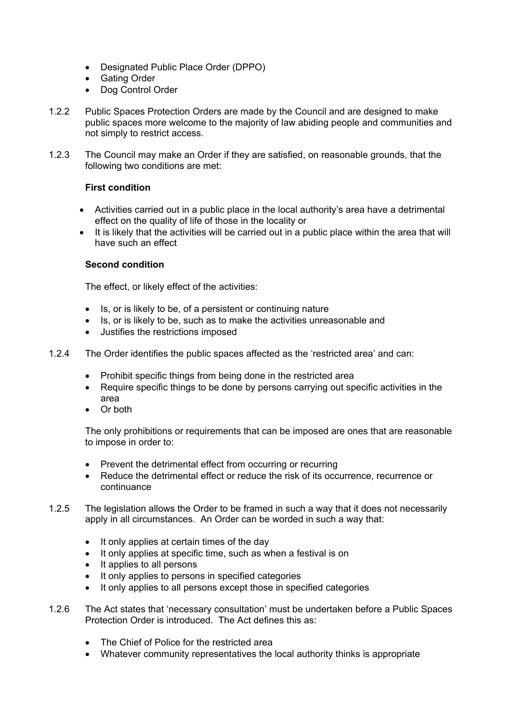- Designated Public Place Order (DPPO)
- Gating Order
- Dog Control Order
- 1.2.2 Public Spaces Protection Orders are made by the Council and are designed to make public spaces more welcome to the majority of law abiding people and communities and not simply to restrict access.
- 1.2.3 The Council may make an Order if they are satisfied, on reasonable grounds, that the following two conditions are met:

### **First condition**

- Activities carried out in a public place in the local authority's area have a detrimental effect on the quality of life of those in the locality or
- It is likely that the activities will be carried out in a public place within the area that will have such an effect

### **Second condition**

The effect, or likely effect of the activities:

- Is, or is likely to be, of a persistent or continuing nature
- Is, or is likely to be, such as to make the activities unreasonable and
- Justifies the restrictions imposed
- 1.2.4 The Order identifies the public spaces affected as the 'restricted area' and can:
	- Prohibit specific things from being done in the restricted area
	- Require specific things to be done by persons carrying out specific activities in the area
	- Or both

The only prohibitions or requirements that can be imposed are ones that are reasonable to impose in order to:

- Prevent the detrimental effect from occurring or recurring
- Reduce the detrimental effect or reduce the risk of its occurrence, recurrence or continuance
- 1.2.5 The legislation allows the Order to be framed in such a way that it does not necessarily apply in all circumstances. An Order can be worded in such a way that:
	- It only applies at certain times of the day
	- It only applies at specific time, such as when a festival is on
	- It applies to all persons
	- It only applies to persons in specified categories
	- It only applies to all persons except those in specified categories
- 1.2.6 The Act states that 'necessary consultation' must be undertaken before a Public Spaces Protection Order is introduced. The Act defines this as:
	- The Chief of Police for the restricted area
	- Whatever community representatives the local authority thinks is appropriate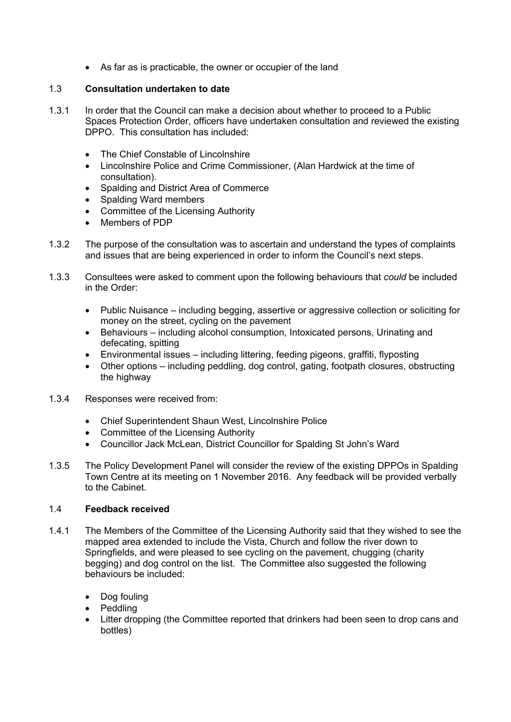As far as is practicable, the owner or occupier of the land

# 1.3 **Consultation undertaken to date**

- 1.3.1 In order that the Council can make a decision about whether to proceed to a Public Spaces Protection Order, officers have undertaken consultation and reviewed the existing DPPO. This consultation has included:
	- The Chief Constable of Lincolnshire
	- Lincolnshire Police and Crime Commissioner, (Alan Hardwick at the time of consultation).
	- Spalding and District Area of Commerce
	- Spalding Ward members
	- Committee of the Licensing Authority
	- Members of PDP
- 1.3.2 The purpose of the consultation was to ascertain and understand the types of complaints and issues that are being experienced in order to inform the Council's next steps.
- 1.3.3 Consultees were asked to comment upon the following behaviours that *could* be included in the Order:
	- Public Nuisance including begging, assertive or aggressive collection or soliciting for money on the street, cycling on the pavement
	- Behaviours including alcohol consumption, Intoxicated persons, Urinating and defecating, spitting
	- Environmental issues including littering, feeding pigeons, graffiti, flyposting
	- Other options including peddling, dog control, gating, footpath closures, obstructing the highway
- 1.3.4 Responses were received from:
	- Chief Superintendent Shaun West, Lincolnshire Police
	- Committee of the Licensing Authority
	- Councillor Jack McLean, District Councillor for Spalding St John's Ward
- 1.3.5 The Policy Development Panel will consider the review of the existing DPPOs in Spalding Town Centre at its meeting on 1 November 2016. Any feedback will be provided verbally to the Cabinet.

### 1.4 **Feedback received**

- 1.4.1 The Members of the Committee of the Licensing Authority said that they wished to see the mapped area extended to include the Vista, Church and follow the river down to Springfields, and were pleased to see cycling on the pavement, chugging (charity begging) and dog control on the list. The Committee also suggested the following behaviours be included:
	- Dog fouling
	- Peddling
	- Litter dropping (the Committee reported that drinkers had been seen to drop cans and bottles)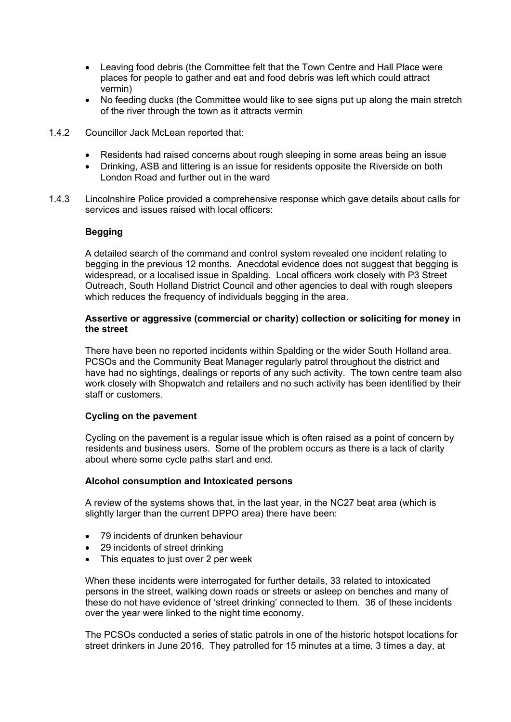- Leaving food debris (the Committee felt that the Town Centre and Hall Place were places for people to gather and eat and food debris was left which could attract vermin)
- No feeding ducks (the Committee would like to see signs put up along the main stretch of the river through the town as it attracts vermin
- 1.4.2 Councillor Jack McLean reported that:
	- Residents had raised concerns about rough sleeping in some areas being an issue
	- Drinking, ASB and littering is an issue for residents opposite the Riverside on both London Road and further out in the ward
- 1.4.3 Lincolnshire Police provided a comprehensive response which gave details about calls for services and issues raised with local officers:

### **Begging**

A detailed search of the command and control system revealed one incident relating to begging in the previous 12 months. Anecdotal evidence does not suggest that begging is widespread, or a localised issue in Spalding. Local officers work closely with P3 Street Outreach, South Holland District Council and other agencies to deal with rough sleepers which reduces the frequency of individuals begging in the area.

### **Assertive or aggressive (commercial or charity) collection or soliciting for money in the street**

There have been no reported incidents within Spalding or the wider South Holland area. PCSOs and the Community Beat Manager regularly patrol throughout the district and have had no sightings, dealings or reports of any such activity. The town centre team also work closely with Shopwatch and retailers and no such activity has been identified by their staff or customers.

### **Cycling on the pavement**

Cycling on the pavement is a regular issue which is often raised as a point of concern by residents and business users. Some of the problem occurs as there is a lack of clarity about where some cycle paths start and end.

### **Alcohol consumption and Intoxicated persons**

A review of the systems shows that, in the last year, in the NC27 beat area (which is slightly larger than the current DPPO area) there have been:

- 79 incidents of drunken behaviour
- 29 incidents of street drinking
- This equates to just over 2 per week

When these incidents were interrogated for further details, 33 related to intoxicated persons in the street, walking down roads or streets or asleep on benches and many of these do not have evidence of 'street drinking' connected to them. 36 of these incidents over the year were linked to the night time economy.

The PCSOs conducted a series of static patrols in one of the historic hotspot locations for street drinkers in June 2016. They patrolled for 15 minutes at a time, 3 times a day, at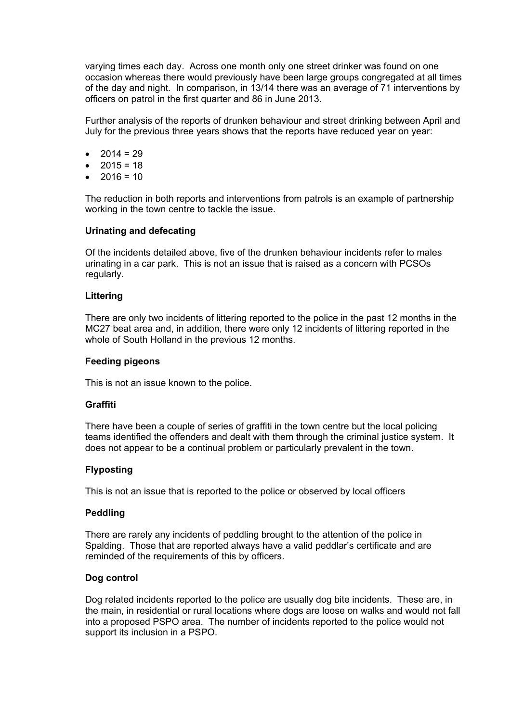varying times each day. Across one month only one street drinker was found on one occasion whereas there would previously have been large groups congregated at all times of the day and night. In comparison, in 13/14 there was an average of 71 interventions by officers on patrol in the first quarter and 86 in June 2013.

Further analysis of the reports of drunken behaviour and street drinking between April and July for the previous three years shows that the reports have reduced year on year:

- $2014 = 29$
- $2015 = 18$
- $2016 = 10$

The reduction in both reports and interventions from patrols is an example of partnership working in the town centre to tackle the issue.

### **Urinating and defecating**

Of the incidents detailed above, five of the drunken behaviour incidents refer to males urinating in a car park. This is not an issue that is raised as a concern with PCSOs regularly.

### **Littering**

There are only two incidents of littering reported to the police in the past 12 months in the MC27 beat area and, in addition, there were only 12 incidents of littering reported in the whole of South Holland in the previous 12 months.

### **Feeding pigeons**

This is not an issue known to the police.

### **Graffiti**

There have been a couple of series of graffiti in the town centre but the local policing teams identified the offenders and dealt with them through the criminal justice system. It does not appear to be a continual problem or particularly prevalent in the town.

### **Flyposting**

This is not an issue that is reported to the police or observed by local officers

### **Peddling**

There are rarely any incidents of peddling brought to the attention of the police in Spalding. Those that are reported always have a valid peddlar's certificate and are reminded of the requirements of this by officers.

### **Dog control**

Dog related incidents reported to the police are usually dog bite incidents. These are, in the main, in residential or rural locations where dogs are loose on walks and would not fall into a proposed PSPO area. The number of incidents reported to the police would not support its inclusion in a PSPO.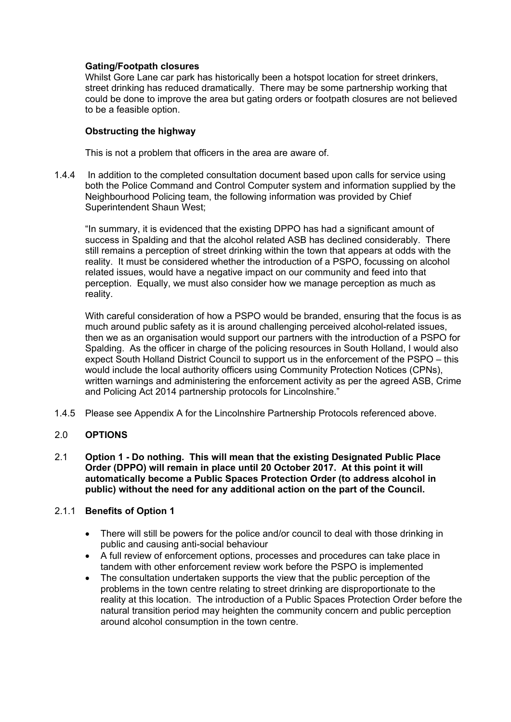## **Gating/Footpath closures**

Whilst Gore Lane car park has historically been a hotspot location for street drinkers, street drinking has reduced dramatically. There may be some partnership working that could be done to improve the area but gating orders or footpath closures are not believed to be a feasible option.

## **Obstructing the highway**

This is not a problem that officers in the area are aware of.

1.4.4 In addition to the completed consultation document based upon calls for service using both the Police Command and Control Computer system and information supplied by the Neighbourhood Policing team, the following information was provided by Chief Superintendent Shaun West;

"In summary, it is evidenced that the existing DPPO has had a significant amount of success in Spalding and that the alcohol related ASB has declined considerably. There still remains a perception of street drinking within the town that appears at odds with the reality. It must be considered whether the introduction of a PSPO, focussing on alcohol related issues, would have a negative impact on our community and feed into that perception. Equally, we must also consider how we manage perception as much as reality.

With careful consideration of how a PSPO would be branded, ensuring that the focus is as much around public safety as it is around challenging perceived alcohol-related issues, then we as an organisation would support our partners with the introduction of a PSPO for Spalding. As the officer in charge of the policing resources in South Holland, I would also expect South Holland District Council to support us in the enforcement of the PSPO – this would include the local authority officers using Community Protection Notices (CPNs), written warnings and administering the enforcement activity as per the agreed ASB, Crime and Policing Act 2014 partnership protocols for Lincolnshire."

1.4.5 Please see Appendix A for the Lincolnshire Partnership Protocols referenced above.

### 2.0 **OPTIONS**

2.1 **Option 1 - Do nothing. This will mean that the existing Designated Public Place Order (DPPO) will remain in place until 20 October 2017. At this point it will automatically become a Public Spaces Protection Order (to address alcohol in public) without the need for any additional action on the part of the Council.**

## 2.1.1 **Benefits of Option 1**

- There will still be powers for the police and/or council to deal with those drinking in public and causing anti-social behaviour
- A full review of enforcement options, processes and procedures can take place in tandem with other enforcement review work before the PSPO is implemented
- The consultation undertaken supports the view that the public perception of the problems in the town centre relating to street drinking are disproportionate to the reality at this location. The introduction of a Public Spaces Protection Order before the natural transition period may heighten the community concern and public perception around alcohol consumption in the town centre.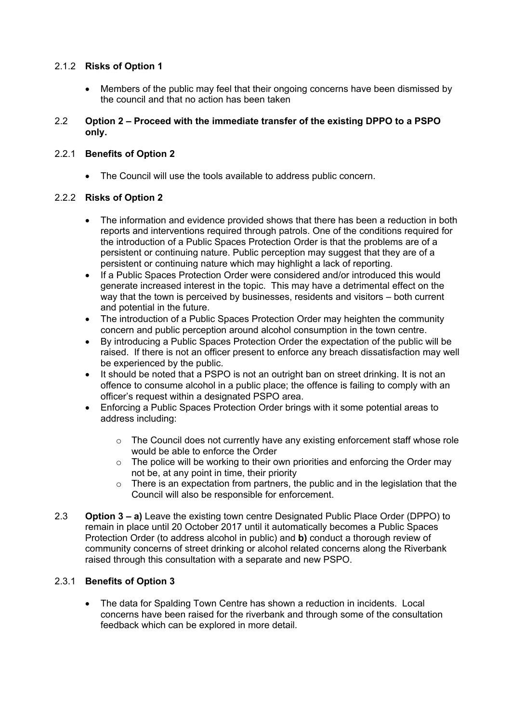# 2.1.2 **Risks of Option 1**

 Members of the public may feel that their ongoing concerns have been dismissed by the council and that no action has been taken

## 2.2 **Option 2 – Proceed with the immediate transfer of the existing DPPO to a PSPO only.**

# 2.2.1 **Benefits of Option 2**

The Council will use the tools available to address public concern.

# 2.2.2 **Risks of Option 2**

- The information and evidence provided shows that there has been a reduction in both reports and interventions required through patrols. One of the conditions required for the introduction of a Public Spaces Protection Order is that the problems are of a persistent or continuing nature. Public perception may suggest that they are of a persistent or continuing nature which may highlight a lack of reporting.
- If a Public Spaces Protection Order were considered and/or introduced this would generate increased interest in the topic. This may have a detrimental effect on the way that the town is perceived by businesses, residents and visitors – both current and potential in the future.
- The introduction of a Public Spaces Protection Order may heighten the community concern and public perception around alcohol consumption in the town centre.
- By introducing a Public Spaces Protection Order the expectation of the public will be raised. If there is not an officer present to enforce any breach dissatisfaction may well be experienced by the public.
- It should be noted that a PSPO is not an outright ban on street drinking. It is not an offence to consume alcohol in a public place; the offence is failing to comply with an officer's request within a designated PSPO area.
- Enforcing a Public Spaces Protection Order brings with it some potential areas to address including:
	- $\circ$  The Council does not currently have any existing enforcement staff whose role would be able to enforce the Order
	- o The police will be working to their own priorities and enforcing the Order may not be, at any point in time, their priority
	- $\circ$  There is an expectation from partners, the public and in the legislation that the Council will also be responsible for enforcement.
- 2.3 **Option 3 – a)** Leave the existing town centre Designated Public Place Order (DPPO) to remain in place until 20 October 2017 until it automatically becomes a Public Spaces Protection Order (to address alcohol in public) and **b)** conduct a thorough review of community concerns of street drinking or alcohol related concerns along the Riverbank raised through this consultation with a separate and new PSPO.

# 2.3.1 **Benefits of Option 3**

 The data for Spalding Town Centre has shown a reduction in incidents. Local concerns have been raised for the riverbank and through some of the consultation feedback which can be explored in more detail.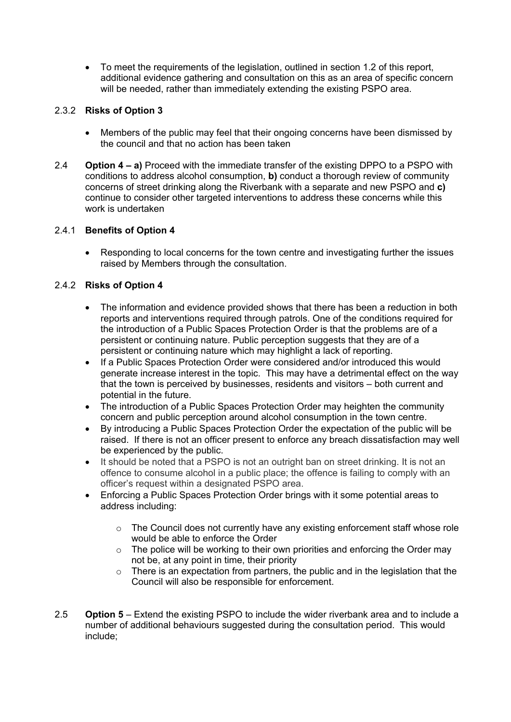To meet the requirements of the legislation, outlined in section 1.2 of this report, additional evidence gathering and consultation on this as an area of specific concern will be needed, rather than immediately extending the existing PSPO area.

# 2.3.2 **Risks of Option 3**

- Members of the public may feel that their ongoing concerns have been dismissed by the council and that no action has been taken
- 2.4 **Option 4 – a)** Proceed with the immediate transfer of the existing DPPO to a PSPO with conditions to address alcohol consumption, **b)** conduct a thorough review of community concerns of street drinking along the Riverbank with a separate and new PSPO and **c)** continue to consider other targeted interventions to address these concerns while this work is undertaken

### 2.4.1 **Benefits of Option 4**

 Responding to local concerns for the town centre and investigating further the issues raised by Members through the consultation.

# 2.4.2 **Risks of Option 4**

- The information and evidence provided shows that there has been a reduction in both reports and interventions required through patrols. One of the conditions required for the introduction of a Public Spaces Protection Order is that the problems are of a persistent or continuing nature. Public perception suggests that they are of a persistent or continuing nature which may highlight a lack of reporting.
- If a Public Spaces Protection Order were considered and/or introduced this would generate increase interest in the topic. This may have a detrimental effect on the way that the town is perceived by businesses, residents and visitors – both current and potential in the future.
- The introduction of a Public Spaces Protection Order may heighten the community concern and public perception around alcohol consumption in the town centre.
- By introducing a Public Spaces Protection Order the expectation of the public will be raised. If there is not an officer present to enforce any breach dissatisfaction may well be experienced by the public.
- It should be noted that a PSPO is not an outright ban on street drinking. It is not an offence to consume alcohol in a public place; the offence is failing to comply with an officer's request within a designated PSPO area.
- Enforcing a Public Spaces Protection Order brings with it some potential areas to address including:
	- o The Council does not currently have any existing enforcement staff whose role would be able to enforce the Order
	- $\circ$  The police will be working to their own priorities and enforcing the Order may not be, at any point in time, their priority
	- $\circ$  There is an expectation from partners, the public and in the legislation that the Council will also be responsible for enforcement.
- 2.5 **Option 5** Extend the existing PSPO to include the wider riverbank area and to include a number of additional behaviours suggested during the consultation period. This would include;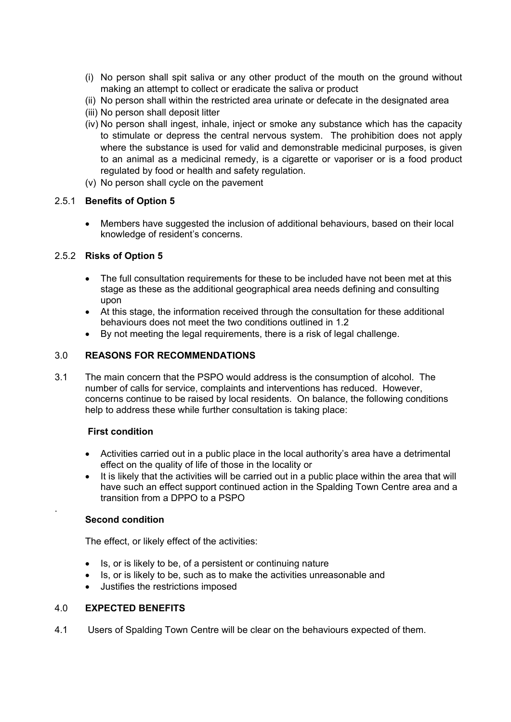- (i) No person shall spit saliva or any other product of the mouth on the ground without making an attempt to collect or eradicate the saliva or product
- (ii) No person shall within the restricted area urinate or defecate in the designated area
- (iii) No person shall deposit litter
- (iv) No person shall ingest, inhale, inject or smoke any substance which has the capacity to stimulate or depress the central nervous system. The prohibition does not apply where the substance is used for valid and demonstrable medicinal purposes, is given to an animal as a medicinal remedy, is a cigarette or vaporiser or is a food product regulated by food or health and safety regulation.
- (v) No person shall cycle on the pavement

# 2.5.1 **Benefits of Option 5**

 Members have suggested the inclusion of additional behaviours, based on their local knowledge of resident's concerns.

# 2.5.2 **Risks of Option 5**

- The full consultation requirements for these to be included have not been met at this stage as these as the additional geographical area needs defining and consulting upon
- At this stage, the information received through the consultation for these additional behaviours does not meet the two conditions outlined in 1.2
- By not meeting the legal requirements, there is a risk of legal challenge.

# 3.0 **REASONS FOR RECOMMENDATIONS**

3.1 The main concern that the PSPO would address is the consumption of alcohol. The number of calls for service, complaints and interventions has reduced. However, concerns continue to be raised by local residents. On balance, the following conditions help to address these while further consultation is taking place:

### **First condition**

- Activities carried out in a public place in the local authority's area have a detrimental effect on the quality of life of those in the locality or
- It is likely that the activities will be carried out in a public place within the area that will have such an effect support continued action in the Spalding Town Centre area and a transition from a DPPO to a PSPO

### **Second condition**

.

The effect, or likely effect of the activities:

- Is, or is likely to be, of a persistent or continuing nature
- Is, or is likely to be, such as to make the activities unreasonable and
- Justifies the restrictions imposed

## 4.0 **EXPECTED BENEFITS**

4.1 Users of Spalding Town Centre will be clear on the behaviours expected of them.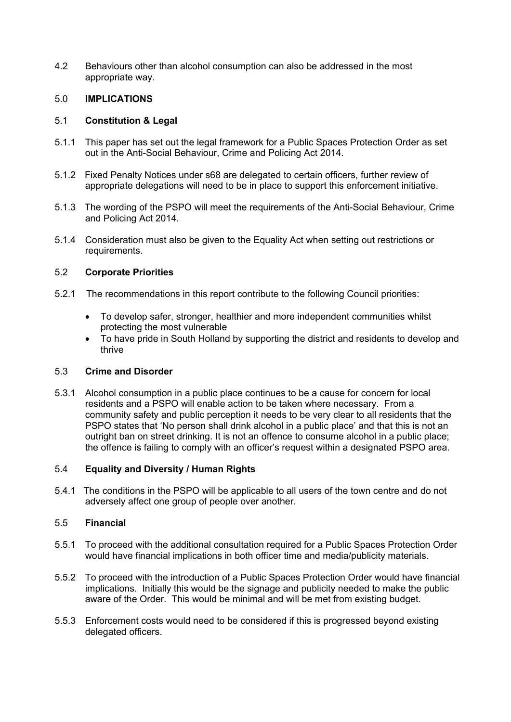4.2 Behaviours other than alcohol consumption can also be addressed in the most appropriate way.

# 5.0 **IMPLICATIONS**

## 5.1 **Constitution & Legal**

- 5.1.1 This paper has set out the legal framework for a Public Spaces Protection Order as set out in the Anti-Social Behaviour, Crime and Policing Act 2014.
- 5.1.2 Fixed Penalty Notices under s68 are delegated to certain officers, further review of appropriate delegations will need to be in place to support this enforcement initiative.
- 5.1.3 The wording of the PSPO will meet the requirements of the Anti-Social Behaviour, Crime and Policing Act 2014.
- 5.1.4 Consideration must also be given to the Equality Act when setting out restrictions or requirements.

# 5.2 **Corporate Priorities**

- 5.2.1 The recommendations in this report contribute to the following Council priorities:
	- To develop safer, stronger, healthier and more independent communities whilst protecting the most vulnerable
	- To have pride in South Holland by supporting the district and residents to develop and thrive

### 5.3 **Crime and Disorder**

5.3.1 Alcohol consumption in a public place continues to be a cause for concern for local residents and a PSPO will enable action to be taken where necessary. From a community safety and public perception it needs to be very clear to all residents that the PSPO states that 'No person shall drink alcohol in a public place' and that this is not an outright ban on street drinking. It is not an offence to consume alcohol in a public place; the offence is failing to comply with an officer's request within a designated PSPO area.

### 5.4 **Equality and Diversity / Human Rights**

5.4.1 The conditions in the PSPO will be applicable to all users of the town centre and do not adversely affect one group of people over another.

### 5.5 **Financial**

- 5.5.1 To proceed with the additional consultation required for a Public Spaces Protection Order would have financial implications in both officer time and media/publicity materials.
- 5.5.2 To proceed with the introduction of a Public Spaces Protection Order would have financial implications. Initially this would be the signage and publicity needed to make the public aware of the Order. This would be minimal and will be met from existing budget.
- 5.5.3 Enforcement costs would need to be considered if this is progressed beyond existing delegated officers.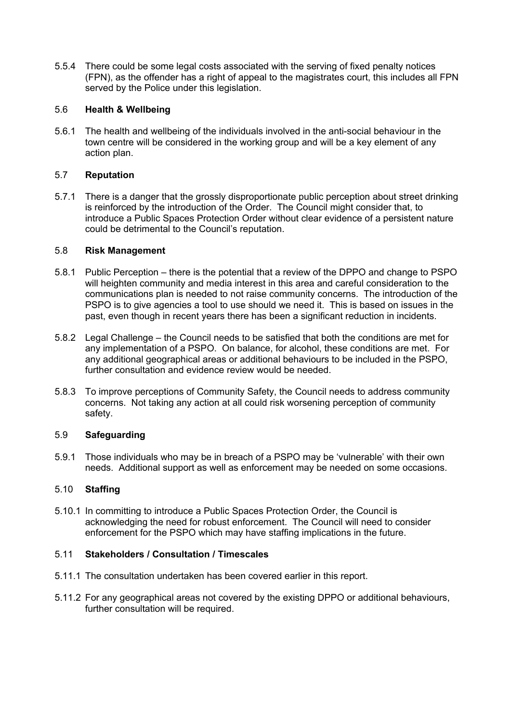5.5.4 There could be some legal costs associated with the serving of fixed penalty notices (FPN), as the offender has a right of appeal to the magistrates court, this includes all FPN served by the Police under this legislation.

# 5.6 **Health & Wellbeing**

5.6.1 The health and wellbeing of the individuals involved in the anti-social behaviour in the town centre will be considered in the working group and will be a key element of any action plan.

### 5.7 **Reputation**

5.7.1 There is a danger that the grossly disproportionate public perception about street drinking is reinforced by the introduction of the Order. The Council might consider that, to introduce a Public Spaces Protection Order without clear evidence of a persistent nature could be detrimental to the Council's reputation.

### 5.8 **Risk Management**

- 5.8.1 Public Perception there is the potential that a review of the DPPO and change to PSPO will heighten community and media interest in this area and careful consideration to the communications plan is needed to not raise community concerns. The introduction of the PSPO is to give agencies a tool to use should we need it. This is based on issues in the past, even though in recent years there has been a significant reduction in incidents.
- 5.8.2 Legal Challenge the Council needs to be satisfied that both the conditions are met for any implementation of a PSPO. On balance, for alcohol, these conditions are met. For any additional geographical areas or additional behaviours to be included in the PSPO, further consultation and evidence review would be needed.
- 5.8.3 To improve perceptions of Community Safety, the Council needs to address community concerns. Not taking any action at all could risk worsening perception of community safety.

### 5.9 **Safeguarding**

5.9.1 Those individuals who may be in breach of a PSPO may be 'vulnerable' with their own needs. Additional support as well as enforcement may be needed on some occasions.

### 5.10 **Staffing**

5.10.1 In committing to introduce a Public Spaces Protection Order, the Council is acknowledging the need for robust enforcement. The Council will need to consider enforcement for the PSPO which may have staffing implications in the future.

### 5.11 **Stakeholders / Consultation / Timescales**

- 5.11.1 The consultation undertaken has been covered earlier in this report.
- 5.11.2 For any geographical areas not covered by the existing DPPO or additional behaviours, further consultation will be required.